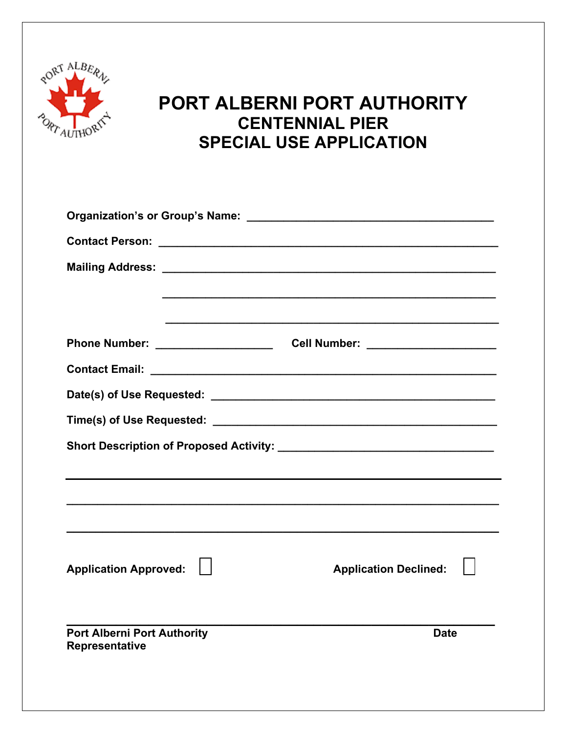

## **PORT ALBERNI PORT AUTHORITY CENTENNIAL PIER SPECIAL USE APPLICATION**

|                                                      | <u> 1989 - Johann Stoff, amerikansk politiker (d. 1989)</u> |
|------------------------------------------------------|-------------------------------------------------------------|
|                                                      |                                                             |
|                                                      |                                                             |
|                                                      |                                                             |
|                                                      |                                                             |
|                                                      |                                                             |
|                                                      |                                                             |
|                                                      |                                                             |
|                                                      |                                                             |
|                                                      |                                                             |
| <b>Application Approved:</b>                         | <b>Application Declined:</b>                                |
|                                                      |                                                             |
|                                                      |                                                             |
| <b>Port Alberni Port Authority</b><br>Representative | <b>Date</b>                                                 |
|                                                      |                                                             |